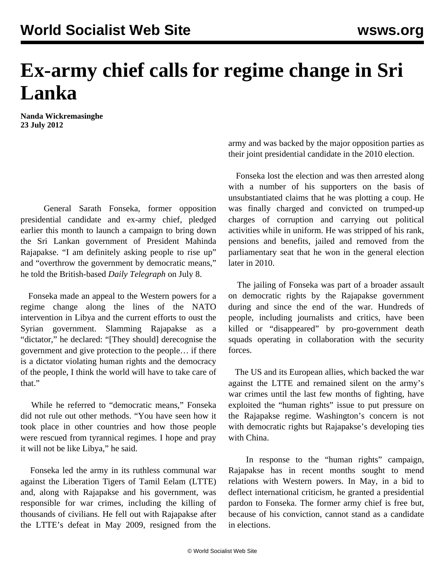## **Ex-army chief calls for regime change in Sri Lanka**

**Nanda Wickremasinghe 23 July 2012**

 General Sarath Fonseka, former opposition presidential candidate and ex-army chief, pledged earlier this month to launch a campaign to bring down the Sri Lankan government of President Mahinda Rajapakse. "I am definitely asking people to rise up" and "overthrow the government by democratic means," he told the British-based *Daily Telegraph* on July 8.

 Fonseka made an appeal to the Western powers for a regime change along the lines of the NATO intervention in Libya and the current efforts to oust the Syrian government. Slamming Rajapakse as a "dictator," he declared: "[They should] derecognise the government and give protection to the people… if there is a dictator violating human rights and the democracy of the people, I think the world will have to take care of that."

 While he referred to "democratic means," Fonseka did not rule out other methods. "You have seen how it took place in other countries and how those people were rescued from tyrannical regimes. I hope and pray it will not be like Libya," he said.

 Fonseka led the army in its ruthless communal war against the Liberation Tigers of Tamil Eelam (LTTE) and, along with Rajapakse and his government, was responsible for war crimes, including the killing of thousands of civilians. He fell out with Rajapakse after the LTTE's defeat in May 2009, resigned from the army and was backed by the major opposition parties as their joint presidential candidate in the 2010 election.

 Fonseka lost the election and was then arrested along with a number of his supporters on the basis of unsubstantiated claims that he was plotting a coup. He was finally charged and convicted on trumped-up charges of corruption and carrying out political activities while in uniform. He was stripped of his rank, pensions and benefits, jailed and removed from the parliamentary seat that he won in the general election later in 2010.

 The jailing of Fonseka was part of a broader assault on democratic rights by the Rajapakse government during and since the end of the war. Hundreds of people, including journalists and critics, have been killed or "disappeared" by pro-government death squads operating in collaboration with the security forces.

 The US and its European allies, which backed the war against the LTTE and remained silent on the army's war crimes until the last few months of fighting, have exploited the "human rights" issue to put pressure on the Rajapakse regime. Washington's concern is not with democratic rights but Rajapakse's developing ties with China.

 In response to the "human rights" campaign, Rajapakse has in recent months sought to mend relations with Western powers. In May, in a bid to deflect international criticism, he granted a presidential pardon to Fonseka. The former army chief is free but, because of his conviction, cannot stand as a candidate in elections.